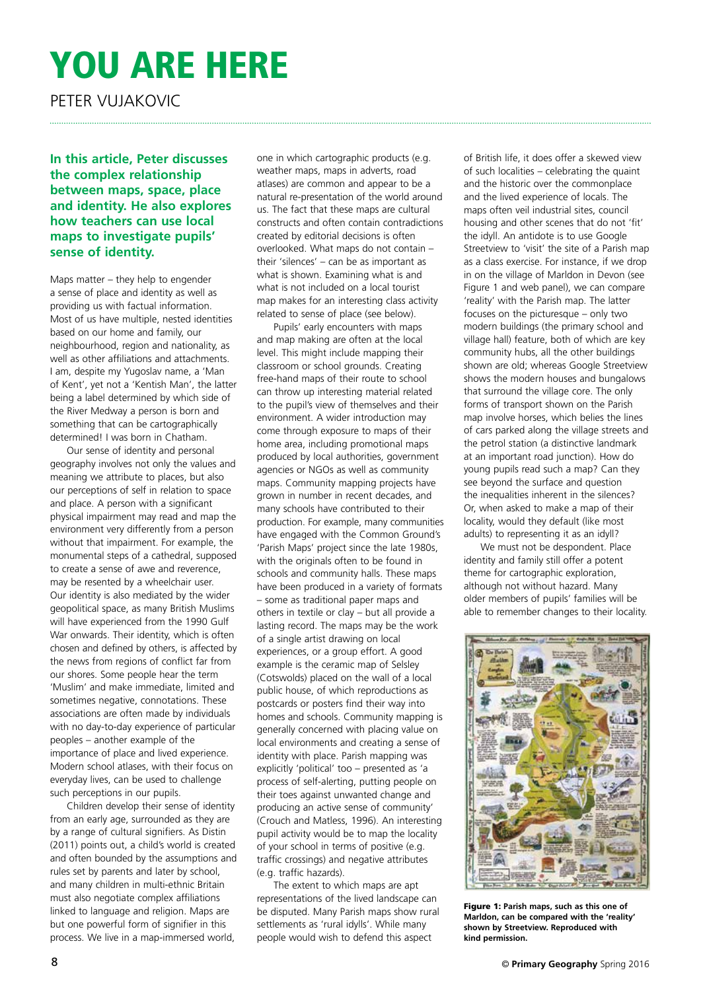## YOU ARE HERE

Peter Vujakovic

**In this article, Peter discusses the complex relationship between maps, space, place and identity. He also explores how teachers can use local maps to investigate pupils' sense of identity.**

Maps matter – they help to engender a sense of place and identity as well as providing us with factual information. Most of us have multiple, nested identities based on our home and family, our neighbourhood, region and nationality, as well as other affiliations and attachments. I am, despite my Yugoslav name, a 'Man of Kent', yet not a 'Kentish Man', the latter being a label determined by which side of the River Medway a person is born and something that can be cartographically determined! I was born in Chatham.

Our sense of identity and personal geography involves not only the values and meaning we attribute to places, but also our perceptions of self in relation to space and place. A person with a significant physical impairment may read and map the environment very differently from a person without that impairment. For example, the monumental steps of a cathedral, supposed to create a sense of awe and reverence, may be resented by a wheelchair user. Our identity is also mediated by the wider geopolitical space, as many British Muslims will have experienced from the 1990 Gulf War onwards. Their identity, which is often chosen and defined by others, is affected by the news from regions of conflict far from our shores. Some people hear the term 'Muslim' and make immediate, limited and sometimes negative, connotations. These associations are often made by individuals with no day-to-day experience of particular peoples – another example of the importance of place and lived experience. Modern school atlases, with their focus on everyday lives, can be used to challenge such perceptions in our pupils.

Children develop their sense of identity from an early age, surrounded as they are by a range of cultural signifiers. As Distin (2011) points out, a child's world is created and often bounded by the assumptions and rules set by parents and later by school, and many children in multi-ethnic Britain must also negotiate complex affiliations linked to language and religion. Maps are but one powerful form of signifier in this process. We live in a map-immersed world,

one in which cartographic products (e.g. weather maps, maps in adverts, road atlases) are common and appear to be a natural re-presentation of the world around us. The fact that these maps are cultural constructs and often contain contradictions created by editorial decisions is often overlooked. What maps do not contain – their 'silences' – can be as important as what is shown. Examining what is and what is not included on a local tourist map makes for an interesting class activity related to sense of place (see below).

Pupils' early encounters with maps and map making are often at the local level. This might include mapping their classroom or school grounds. Creating free-hand maps of their route to school can throw up interesting material related to the pupil's view of themselves and their environment. A wider introduction may come through exposure to maps of their home area, including promotional maps produced by local authorities, government agencies or NGOs as well as community maps. Community mapping projects have grown in number in recent decades, and many schools have contributed to their production. For example, many communities have engaged with the Common Ground's 'Parish Maps' project since the late 1980s, with the originals often to be found in schools and community halls. These maps have been produced in a variety of formats – some as traditional paper maps and others in textile or clay – but all provide a lasting record. The maps may be the work of a single artist drawing on local experiences, or a group effort. A good example is the ceramic map of Selsley (Cotswolds) placed on the wall of a local public house, of which reproductions as postcards or posters find their way into homes and schools. Community mapping is generally concerned with placing value on local environments and creating a sense of identity with place. Parish mapping was explicitly 'political' too – presented as 'a process of self-alerting, putting people on their toes against unwanted change and producing an active sense of community' (Crouch and Matless, 1996). An interesting pupil activity would be to map the locality of your school in terms of positive (e.g. traffic crossings) and negative attributes (e.g. traffic hazards).

The extent to which maps are apt representations of the lived landscape can be disputed. Many Parish maps show rural settlements as 'rural idylls'. While many people would wish to defend this aspect

of British life, it does offer a skewed view of such localities – celebrating the quaint and the historic over the commonplace and the lived experience of locals. The maps often veil industrial sites, council housing and other scenes that do not 'fit' the idyll. An antidote is to use Google Streetview to 'visit' the site of a Parish map as a class exercise. For instance, if we drop in on the village of Marldon in Devon (see Figure 1 and web panel), we can compare 'reality' with the Parish map. The latter focuses on the picturesque – only two modern buildings (the primary school and village hall) feature, both of which are key community hubs, all the other buildings shown are old; whereas Google Streetview shows the modern houses and bungalows that surround the village core. The only forms of transport shown on the Parish map involve horses, which belies the lines of cars parked along the village streets and the petrol station (a distinctive landmark at an important road junction). How do young pupils read such a map? Can they see beyond the surface and question the inequalities inherent in the silences? Or, when asked to make a map of their locality, would they default (like most adults) to representing it as an idyll?

We must not be despondent. Place identity and family still offer a potent theme for cartographic exploration, although not without hazard. Many older members of pupils' families will be able to remember changes to their locality.



Figure 1: **Parish maps, such as this one of Marldon, can be compared with the 'reality' shown by Streetview. Reproduced with kind permission.**